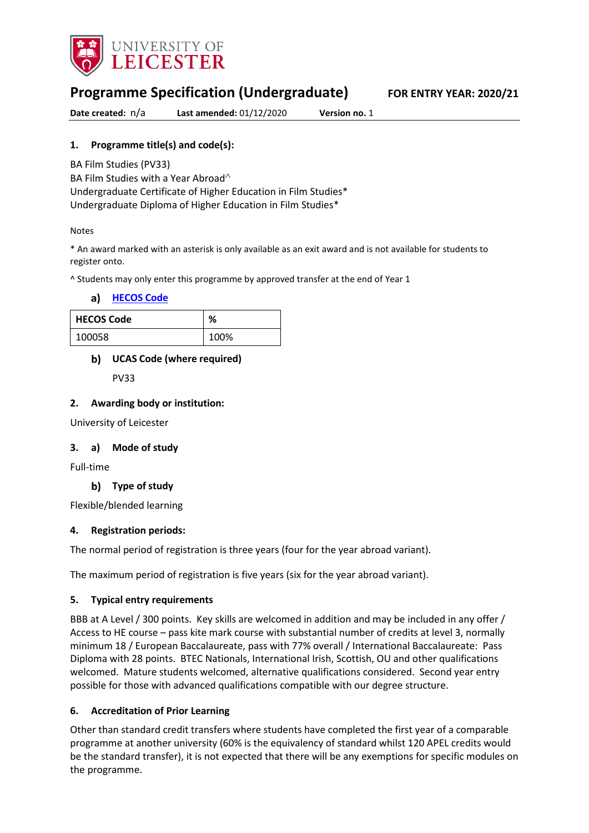

# **Programme Specification (Undergraduate) FOR ENTRY YEAR: 2020/21**

**Date created:** n/a **Last amended:** 01/12/2020 **Version no.** 1

## **1. Programme title(s) and code(s):**

BA Film Studies (PV33)

BA Film Studies with a Year Abroad<sup> $\wedge$ </sup>

Undergraduate Certificate of Higher Education in Film Studies\* Undergraduate Diploma of Higher Education in Film Studies\*

#### Notes

\* An award marked with an asterisk is only available as an exit award and is not available for students to register onto.

^ Students may only enter this programme by approved transfer at the end of Year 1

#### **[HECOS Code](https://www.hesa.ac.uk/innovation/hecos)**

| <b>HECOS Code</b> | %    |
|-------------------|------|
| 100058            | 100% |

### **UCAS Code (where required)**

PV33

### **2. Awarding body or institution:**

University of Leicester

### **3. a) Mode of study**

Full-time

### **Type of study**

Flexible/blended learning

### **4. Registration periods:**

The normal period of registration is three years (four for the year abroad variant).

The maximum period of registration is five years (six for the year abroad variant).

### **5. Typical entry requirements**

BBB at A Level / 300 points. Key skills are welcomed in addition and may be included in any offer / Access to HE course – pass kite mark course with substantial number of credits at level 3, normally minimum 18 / European Baccalaureate, pass with 77% overall / International Baccalaureate: Pass Diploma with 28 points. BTEC Nationals, International Irish, Scottish, OU and other qualifications welcomed. Mature students welcomed, alternative qualifications considered. Second year entry possible for those with advanced qualifications compatible with our degree structure.

### **6. Accreditation of Prior Learning**

Other than standard credit transfers where students have completed the first year of a comparable programme at another university (60% is the equivalency of standard whilst 120 APEL credits would be the standard transfer), it is not expected that there will be any exemptions for specific modules on the programme.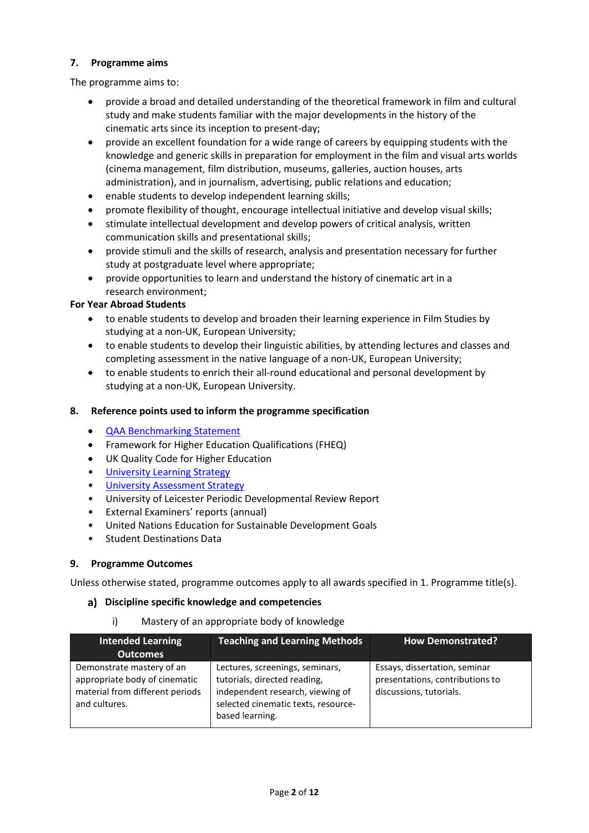### **7. Programme aims**

The programme aims to:

- provide a broad and detailed understanding of the theoretical framework in film and cultural study and make students familiar with the major developments in the history of the cinematic arts since its inception to present-day;
- provide an excellent foundation for a wide range of careers by equipping students with the knowledge and generic skills in preparation for employment in the film and visual arts worlds (cinema management, film distribution, museums, galleries, auction houses, arts administration), and in journalism, advertising, public relations and education;
- enable students to develop independent learning skills;
- promote flexibility of thought, encourage intellectual initiative and develop visual skills;
- stimulate intellectual development and develop powers of critical analysis, written communication skills and presentational skills;
- provide stimuli and the skills of research, analysis and presentation necessary for further study at postgraduate level where appropriate;
- provide opportunities to learn and understand the history of cinematic art in a research environment;

### **For Year Abroad Students**

- to enable students to develop and broaden their learning experience in Film Studies by studying at a non-UK, European University;
- to enable students to develop their linguistic abilities, by attending lectures and classes and completing assessment in the native language of a non-UK, European University;
- to enable students to enrich their all-round educational and personal development by studying at a non-UK, European University.

### **8. Reference points used to inform the programme specification**

- [QAA Benchmarking Statement](http://www.qaa.ac.uk/en/Publications/Documents/SBS-Communication-Media-Film-and-Cultural-Studies-16.pdf)
- Framework for Higher Education Qualifications (FHEQ)
- UK Quality Code for Higher Education
- University Learnin[g Strategy](https://www2.le.ac.uk/offices/sas2/quality/learnteach)
- [University Assessment Strategy](https://www2.le.ac.uk/offices/sas2/quality/learnteach)
- University of Leicester Periodic Developmental Review Report
- External Examiners' reports (annual)
- United Nations Education for Sustainable Development Goals
- Student Destinations Data

### **9. Programme Outcomes**

Unless otherwise stated, programme outcomes apply to all awards specified in 1. Programme title(s).

### **Discipline specific knowledge and competencies**

i) Mastery of an appropriate body of knowledge

| <b>Intended Learning</b><br><b>Outcomes</b>                                                                    | <b>Teaching and Learning Methods</b>                                                                                                                          | <b>How Demonstrated?</b>                                                                    |
|----------------------------------------------------------------------------------------------------------------|---------------------------------------------------------------------------------------------------------------------------------------------------------------|---------------------------------------------------------------------------------------------|
| Demonstrate mastery of an<br>appropriate body of cinematic<br>material from different periods<br>and cultures. | Lectures, screenings, seminars,<br>tutorials, directed reading,<br>independent research, viewing of<br>selected cinematic texts, resource-<br>based learning. | Essays, dissertation, seminar<br>presentations, contributions to<br>discussions, tutorials. |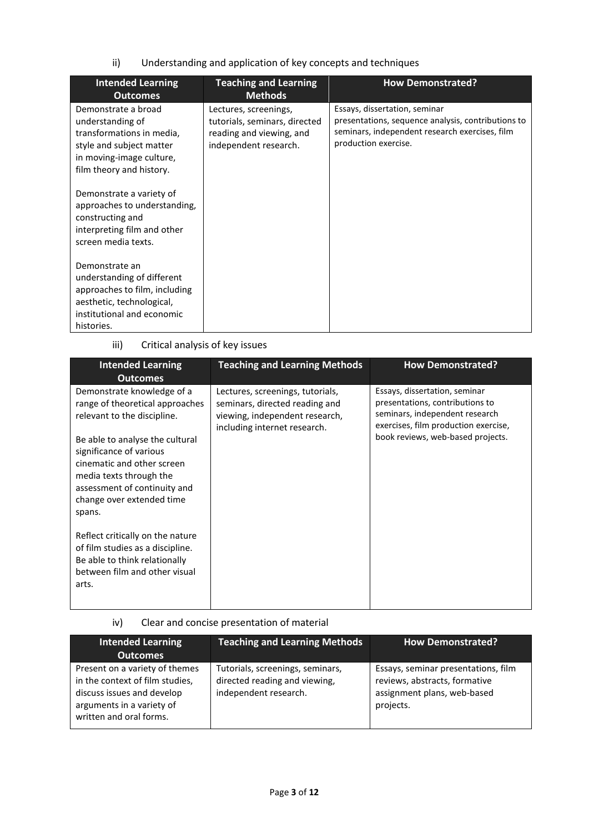ii) Understanding and application of key concepts and techniques

| <b>Intended Learning</b><br><b>Outcomes</b>                                                                                                              | <b>Teaching and Learning</b><br><b>Methods</b>                                                              | <b>How Demonstrated?</b>                                                                                                                                      |
|----------------------------------------------------------------------------------------------------------------------------------------------------------|-------------------------------------------------------------------------------------------------------------|---------------------------------------------------------------------------------------------------------------------------------------------------------------|
| Demonstrate a broad<br>understanding of<br>transformations in media,<br>style and subject matter<br>in moving-image culture,<br>film theory and history. | Lectures, screenings,<br>tutorials, seminars, directed<br>reading and viewing, and<br>independent research. | Essays, dissertation, seminar<br>presentations, sequence analysis, contributions to<br>seminars, independent research exercises, film<br>production exercise. |
| Demonstrate a variety of<br>approaches to understanding,<br>constructing and<br>interpreting film and other<br>screen media texts.                       |                                                                                                             |                                                                                                                                                               |
| Demonstrate an<br>understanding of different<br>approaches to film, including<br>aesthetic, technological,<br>institutional and economic<br>histories.   |                                                                                                             |                                                                                                                                                               |

# iii) Critical analysis of key issues

| <b>Intended Learning</b><br><b>Outcomes</b>                                                                                                                                                | <b>Teaching and Learning Methods</b>                                                                                                 | <b>How Demonstrated?</b>                                                                                                                   |
|--------------------------------------------------------------------------------------------------------------------------------------------------------------------------------------------|--------------------------------------------------------------------------------------------------------------------------------------|--------------------------------------------------------------------------------------------------------------------------------------------|
| Demonstrate knowledge of a<br>range of theoretical approaches<br>relevant to the discipline.                                                                                               | Lectures, screenings, tutorials,<br>seminars, directed reading and<br>viewing, independent research,<br>including internet research. | Essays, dissertation, seminar<br>presentations, contributions to<br>seminars, independent research<br>exercises, film production exercise, |
| Be able to analyse the cultural<br>significance of various<br>cinematic and other screen<br>media texts through the<br>assessment of continuity and<br>change over extended time<br>spans. |                                                                                                                                      | book reviews, web-based projects.                                                                                                          |
| Reflect critically on the nature<br>of film studies as a discipline.<br>Be able to think relationally<br>between film and other visual<br>arts.                                            |                                                                                                                                      |                                                                                                                                            |

iv) Clear and concise presentation of material

| <b>Intended Learning</b><br><b>Outcomes</b>                                                                                                             | <b>Teaching and Learning Methods</b>                                                       | <b>How Demonstrated?</b>                                                                                         |
|---------------------------------------------------------------------------------------------------------------------------------------------------------|--------------------------------------------------------------------------------------------|------------------------------------------------------------------------------------------------------------------|
| Present on a variety of themes<br>in the context of film studies,<br>discuss issues and develop<br>arguments in a variety of<br>written and oral forms. | Tutorials, screenings, seminars,<br>directed reading and viewing,<br>independent research. | Essays, seminar presentations, film<br>reviews, abstracts, formative<br>assignment plans, web-based<br>projects. |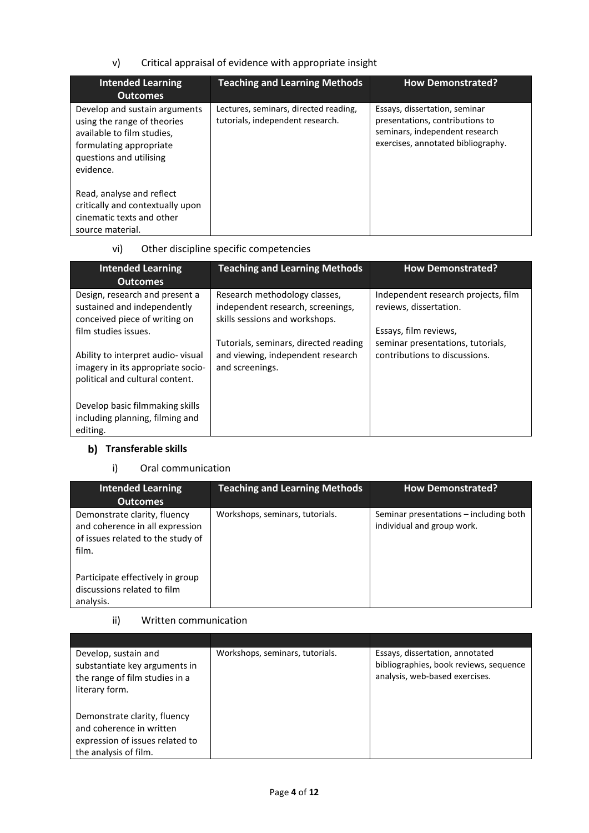v) Critical appraisal of evidence with appropriate insight

| <b>Intended Learning</b><br><b>Outcomes</b>                                                                                                                   | <b>Teaching and Learning Methods</b>                                      | <b>How Demonstrated?</b>                                                                                                                 |
|---------------------------------------------------------------------------------------------------------------------------------------------------------------|---------------------------------------------------------------------------|------------------------------------------------------------------------------------------------------------------------------------------|
| Develop and sustain arguments<br>using the range of theories<br>available to film studies.<br>formulating appropriate<br>questions and utilising<br>evidence. | Lectures, seminars, directed reading,<br>tutorials, independent research. | Essays, dissertation, seminar<br>presentations, contributions to<br>seminars, independent research<br>exercises, annotated bibliography. |
| Read, analyse and reflect<br>critically and contextually upon<br>cinematic texts and other<br>source material.                                                |                                                                           |                                                                                                                                          |

# vi) Other discipline specific competencies

| <b>Intended Learning</b><br><b>Outcomes</b>                                                               | <b>Teaching and Learning Methods</b>                                                                 | <b>How Demonstrated?</b>                                      |
|-----------------------------------------------------------------------------------------------------------|------------------------------------------------------------------------------------------------------|---------------------------------------------------------------|
| Design, research and present a<br>sustained and independently<br>conceived piece of writing on            | Research methodology classes,<br>independent research, screenings,<br>skills sessions and workshops. | Independent research projects, film<br>reviews, dissertation. |
| film studies issues.                                                                                      | Tutorials, seminars, directed reading                                                                | Essays, film reviews,<br>seminar presentations, tutorials,    |
| Ability to interpret audio-visual<br>imagery in its appropriate socio-<br>political and cultural content. | and viewing, independent research<br>and screenings.                                                 | contributions to discussions.                                 |
| Develop basic filmmaking skills<br>including planning, filming and<br>editing.                            |                                                                                                      |                                                               |

# **b)** Transferable skills

### i) Oral communication

| <b>Intended Learning</b><br><b>Outcomes</b>                                                                   | <b>Teaching and Learning Methods</b> | <b>How Demonstrated?</b>                                             |
|---------------------------------------------------------------------------------------------------------------|--------------------------------------|----------------------------------------------------------------------|
| Demonstrate clarity, fluency<br>and coherence in all expression<br>of issues related to the study of<br>film. | Workshops, seminars, tutorials.      | Seminar presentations – including both<br>individual and group work. |
| Participate effectively in group<br>discussions related to film<br>analysis.                                  |                                      |                                                                      |

### ii) Written communication

| Develop, sustain and<br>substantiate key arguments in<br>the range of film studies in a<br>literary form.            | Workshops, seminars, tutorials. | Essays, dissertation, annotated<br>bibliographies, book reviews, sequence<br>analysis, web-based exercises. |
|----------------------------------------------------------------------------------------------------------------------|---------------------------------|-------------------------------------------------------------------------------------------------------------|
| Demonstrate clarity, fluency<br>and coherence in written<br>expression of issues related to<br>the analysis of film. |                                 |                                                                                                             |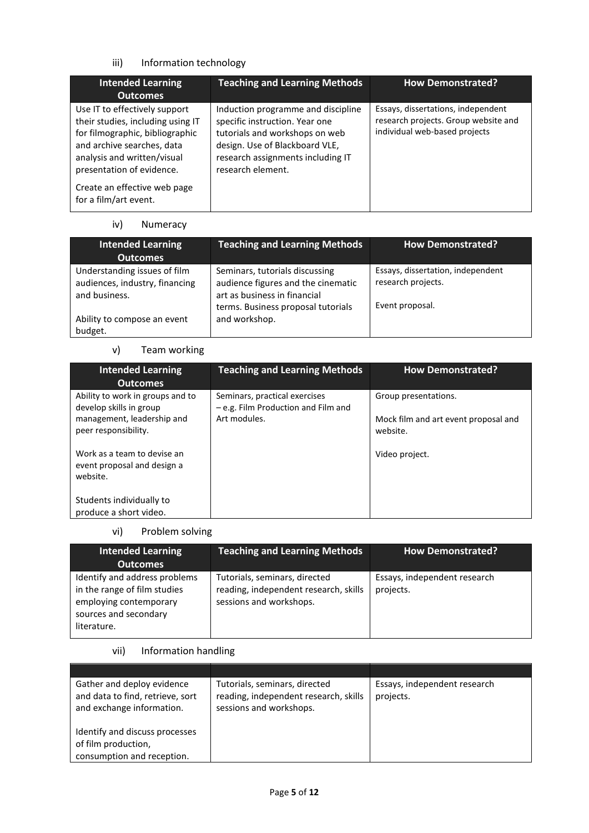# iii) Information technology

| <b>Intended Learning</b><br><b>Outcomes</b>                                                                                                                                                                                                              | <b>Teaching and Learning Methods</b>                                                                                                                                                               | <b>How Demonstrated?</b>                                                                                    |
|----------------------------------------------------------------------------------------------------------------------------------------------------------------------------------------------------------------------------------------------------------|----------------------------------------------------------------------------------------------------------------------------------------------------------------------------------------------------|-------------------------------------------------------------------------------------------------------------|
| Use IT to effectively support<br>their studies, including using IT<br>for filmographic, bibliographic<br>and archive searches, data<br>analysis and written/visual<br>presentation of evidence.<br>Create an effective web page<br>for a film/art event. | Induction programme and discipline<br>specific instruction. Year one<br>tutorials and workshops on web<br>design. Use of Blackboard VLE,<br>research assignments including IT<br>research element. | Essays, dissertations, independent<br>research projects. Group website and<br>individual web-based projects |

### iv) Numeracy

| <b>Intended Learning</b><br><b>Outcomes</b>                                     | <b>Teaching and Learning Methods</b>                                                                                                       | <b>How Demonstrated?</b>                                                   |
|---------------------------------------------------------------------------------|--------------------------------------------------------------------------------------------------------------------------------------------|----------------------------------------------------------------------------|
| Understanding issues of film<br>audiences, industry, financing<br>and business. | Seminars, tutorials discussing<br>audience figures and the cinematic<br>art as business in financial<br>terms. Business proposal tutorials | Essays, dissertation, independent<br>research projects.<br>Event proposal. |
| Ability to compose an event<br>budget.                                          | and workshop.                                                                                                                              |                                                                            |

### v) Team working

| <b>Intended Learning</b><br><b>Outcomes</b>                            | <b>Teaching and Learning Methods</b>                                 | <b>How Demonstrated?</b>                         |
|------------------------------------------------------------------------|----------------------------------------------------------------------|--------------------------------------------------|
| Ability to work in groups and to<br>develop skills in group            | Seminars, practical exercises<br>- e.g. Film Production and Film and | Group presentations.                             |
| management, leadership and<br>peer responsibility.                     | Art modules.                                                         | Mock film and art event proposal and<br>website. |
| Work as a team to devise an<br>event proposal and design a<br>website. |                                                                      | Video project.                                   |
| Students individually to<br>produce a short video.                     |                                                                      |                                                  |

# vi) Problem solving

| <b>Intended Learning</b><br><b>Outcomes</b>                                                                                     | <b>Teaching and Learning Methods</b>                                                              | <b>How Demonstrated?</b>                  |
|---------------------------------------------------------------------------------------------------------------------------------|---------------------------------------------------------------------------------------------------|-------------------------------------------|
| Identify and address problems<br>in the range of film studies<br>employing contemporary<br>sources and secondary<br>literature. | Tutorials, seminars, directed<br>reading, independent research, skills<br>sessions and workshops. | Essays, independent research<br>projects. |

### vii) Information handling

| Gather and deploy evidence<br>and data to find, retrieve, sort<br>and exchange information. | Tutorials, seminars, directed<br>reading, independent research, skills<br>sessions and workshops. | Essays, independent research<br>projects. |
|---------------------------------------------------------------------------------------------|---------------------------------------------------------------------------------------------------|-------------------------------------------|
| Identify and discuss processes<br>of film production,<br>consumption and reception.         |                                                                                                   |                                           |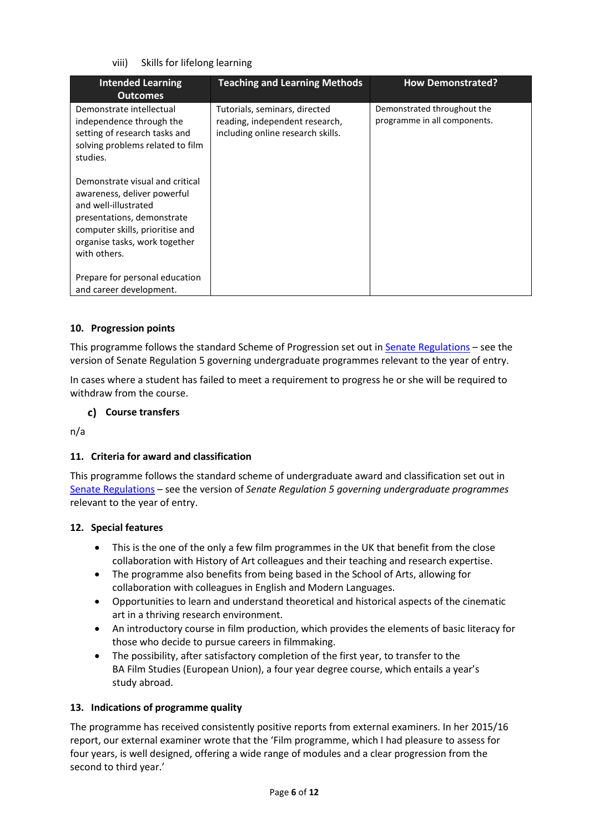### viii) Skills for lifelong learning

| <b>Intended Learning</b><br><b>Outcomes</b>                                                                                                                                                              | <b>Teaching and Learning Methods</b>                                                                 | <b>How Demonstrated?</b>                                    |
|----------------------------------------------------------------------------------------------------------------------------------------------------------------------------------------------------------|------------------------------------------------------------------------------------------------------|-------------------------------------------------------------|
| Demonstrate intellectual<br>independence through the<br>setting of research tasks and<br>solving problems related to film<br>studies.                                                                    | Tutorials, seminars, directed<br>reading, independent research,<br>including online research skills. | Demonstrated throughout the<br>programme in all components. |
| Demonstrate visual and critical<br>awareness, deliver powerful<br>and well-illustrated<br>presentations, demonstrate<br>computer skills, prioritise and<br>organise tasks, work together<br>with others. |                                                                                                      |                                                             |
| Prepare for personal education<br>and career development.                                                                                                                                                |                                                                                                      |                                                             |

### **10. Progression points**

This programme follows the standard Scheme of Progression set out i[n Senate Regulations](http://www.le.ac.uk/senate-regulations) – see the version of Senate Regulation 5 governing undergraduate programmes relevant to the year of entry.

In cases where a student has failed to meet a requirement to progress he or she will be required to withdraw from the course.

### **Course transfers**

n/a

### **11. Criteria for award and classification**

This programme follows the standard scheme of undergraduate award and classification set out in [Senate Regulations](http://www.le.ac.uk/senate-regulations) – see the version of *Senate Regulation 5 governing undergraduate programmes* relevant to the year of entry.

### **12. Special features**

- This is the one of the only a few film programmes in the UK that benefit from the close collaboration with History of Art colleagues and their teaching and research expertise.
- The programme also benefits from being based in the School of Arts, allowing for collaboration with colleagues in English and Modern Languages.
- Opportunities to learn and understand theoretical and historical aspects of the cinematic art in a thriving research environment.
- An introductory course in film production, which provides the elements of basic literacy for those who decide to pursue careers in filmmaking.
- The possibility, after satisfactory completion of the first year, to transfer to the BA Film Studies (European Union), a four year degree course, which entails a year's study abroad.

### **13. Indications of programme quality**

The programme has received consistently positive reports from external examiners. In her 2015/16 report, our external examiner wrote that the 'Film programme, which I had pleasure to assess for four years, is well designed, offering a wide range of modules and a clear progression from the second to third year.'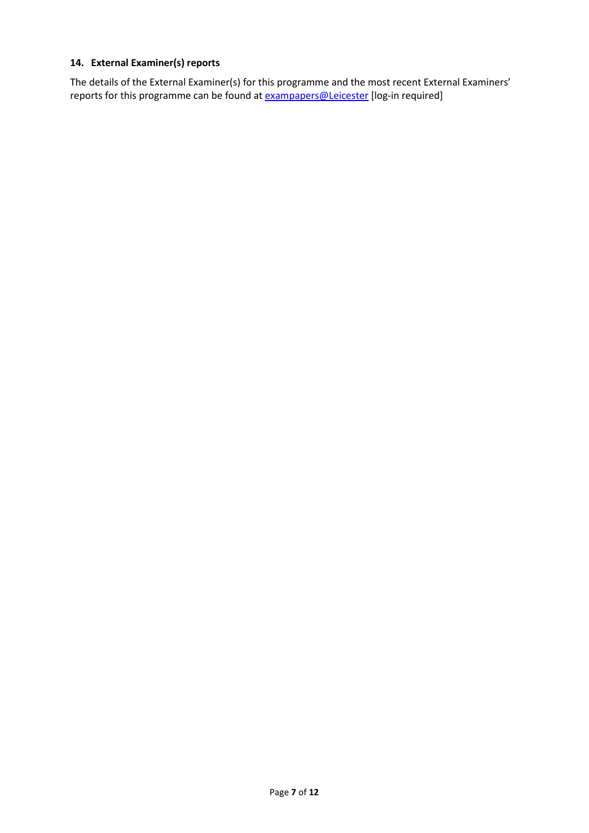## **14. External Examiner(s) reports**

The details of the External Examiner(s) for this programme and the most recent External Examiners' reports for this programme can be found at **exampapers@Leicester** [log-in required]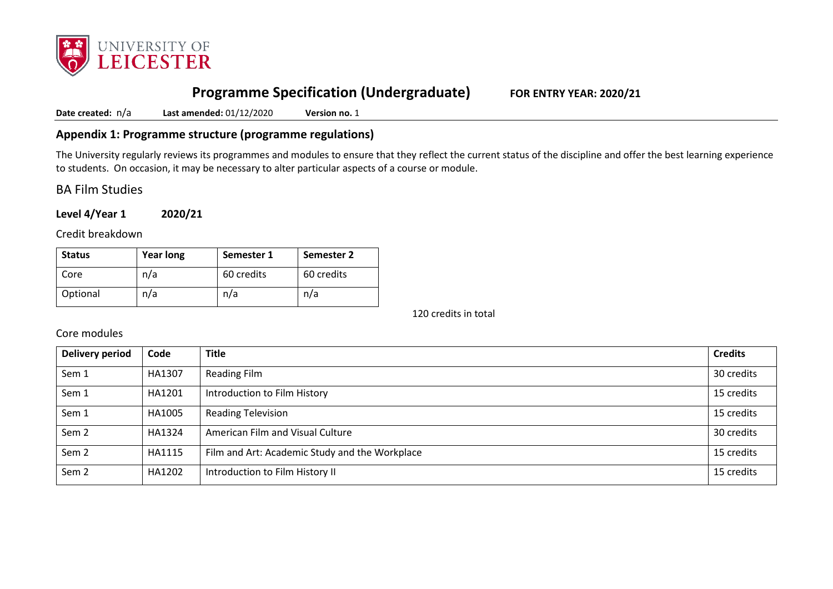

# **Programme Specification (Undergraduate) FOR ENTRY YEAR: 2020/21**

**Date created:** n/a **Last amended:** 01/12/2020 **Version no.** 1

## **Appendix 1: Programme structure (programme regulations)**

The University regularly reviews its programmes and modules to ensure that they reflect the current status of the discipline and offer the best learning experience to students. On occasion, it may be necessary to alter particular aspects of a course or module.

BA Film Studies

**Level 4/Year 1 2020/21**

Credit breakdown

| <b>Status</b> | <b>Year long</b> | Semester 1 | Semester 2 |
|---------------|------------------|------------|------------|
| Core          | n/a              | 60 credits | 60 credits |
| Optional      | n/a              | n/a        | n/a        |

120 credits in total

Core modules

| Delivery period  | Code   | <b>Title</b>                                   | <b>Credits</b> |
|------------------|--------|------------------------------------------------|----------------|
| Sem 1            | HA1307 | Reading Film                                   | 30 credits     |
| Sem 1            | HA1201 | Introduction to Film History                   | 15 credits     |
| Sem 1            | HA1005 | <b>Reading Television</b>                      | 15 credits     |
| Sem <sub>2</sub> | HA1324 | American Film and Visual Culture               | 30 credits     |
| Sem <sub>2</sub> | HA1115 | Film and Art: Academic Study and the Workplace | 15 credits     |
| Sem <sub>2</sub> | HA1202 | Introduction to Film History II                | 15 credits     |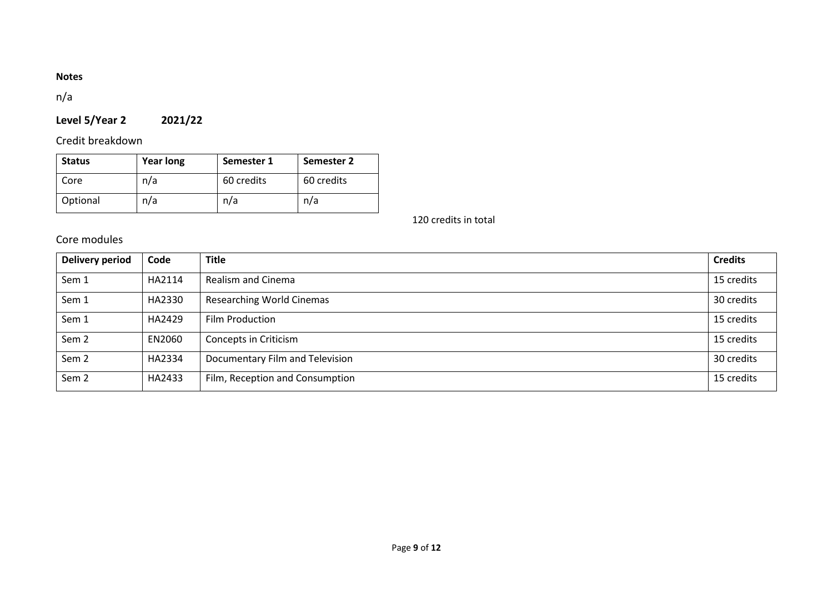# **Notes**

n/a

# **Level 5/Year 2 2021/22**

Credit breakdown

| <b>Status</b> | <b>Year long</b> | Semester 1 | Semester 2 |
|---------------|------------------|------------|------------|
| Core          | n/a              | 60 credits | 60 credits |
| Optional      | n/a              | n/a        | n/a        |

120 credits in total

# Core modules

| <b>Delivery period</b> | Code   | <b>Title</b>                     | <b>Credits</b> |
|------------------------|--------|----------------------------------|----------------|
| Sem 1                  | HA2114 | Realism and Cinema               | 15 credits     |
| Sem 1                  | HA2330 | <b>Researching World Cinemas</b> | 30 credits     |
| Sem 1                  | HA2429 | Film Production                  | 15 credits     |
| Sem <sub>2</sub>       | EN2060 | Concepts in Criticism            | 15 credits     |
| Sem <sub>2</sub>       | HA2334 | Documentary Film and Television  | 30 credits     |
| Sem <sub>2</sub>       | HA2433 | Film, Reception and Consumption  | 15 credits     |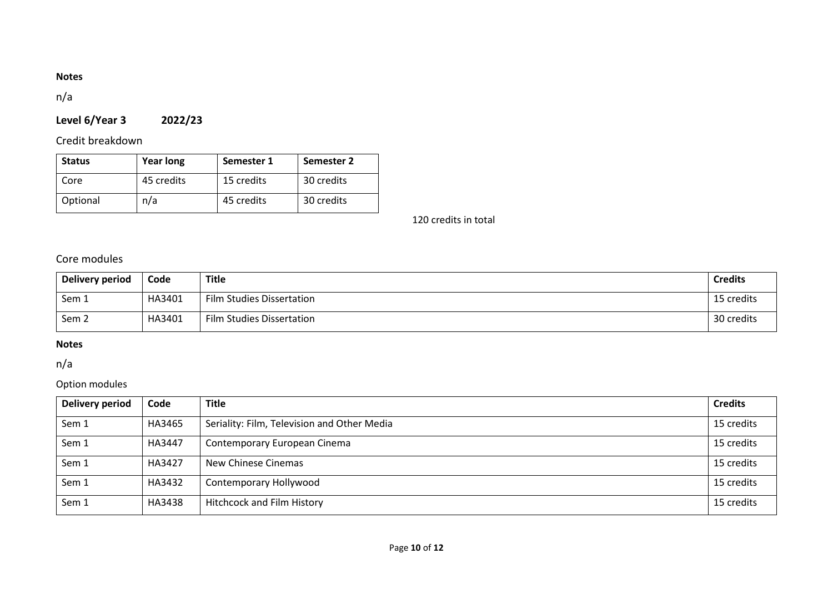# **Notes**

n/a

# **Level 6/Year 3 2022/23**

Credit breakdown

| <b>Status</b> | <b>Year long</b> | Semester 1 | Semester 2 |
|---------------|------------------|------------|------------|
| Core          | 45 credits       | 15 credits | 30 credits |
| Optional      | n/a              | 45 credits | 30 credits |

120 credits in total

Core modules

| Delivery period  | Code   | <b>Title</b>              | <b>Credits</b> |
|------------------|--------|---------------------------|----------------|
| Sem 1            | HA3401 | Film Studies Dissertation | 15 credits     |
| Sem <sub>2</sub> | HA3401 | Film Studies Dissertation | 30 credits     |

# **Notes**

n/a

# Option modules

| Delivery period | Code   | <b>Title</b>                                | <b>Credits</b> |
|-----------------|--------|---------------------------------------------|----------------|
| Sem 1           | HA3465 | Seriality: Film, Television and Other Media | 15 credits     |
| Sem 1           | HA3447 | Contemporary European Cinema                | 15 credits     |
| Sem 1           | HA3427 | New Chinese Cinemas                         | 15 credits     |
| Sem 1           | HA3432 | Contemporary Hollywood                      | 15 credits     |
| Sem 1           | HA3438 | <b>Hitchcock and Film History</b>           | 15 credits     |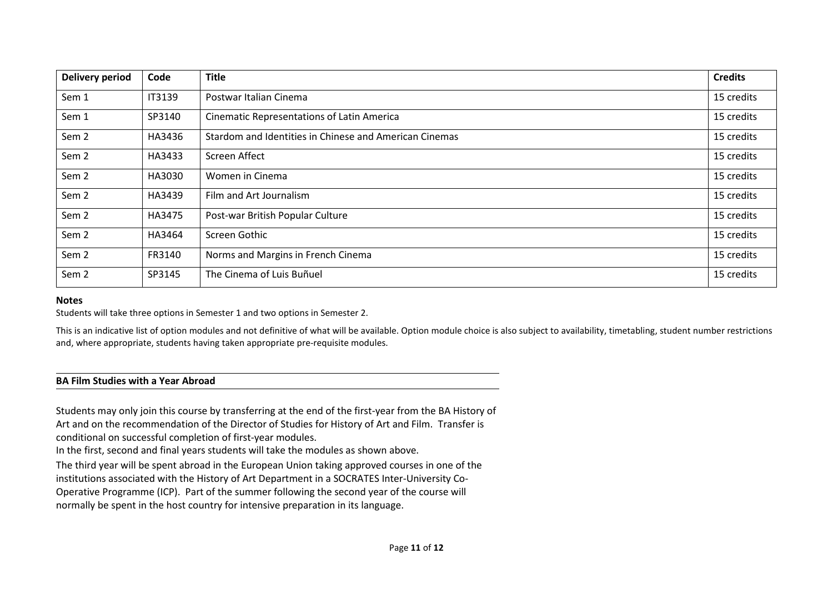| <b>Delivery period</b> | Code          | <b>Title</b>                                           | <b>Credits</b> |
|------------------------|---------------|--------------------------------------------------------|----------------|
| Sem 1                  | <b>IT3139</b> | Postwar Italian Cinema                                 | 15 credits     |
| Sem 1                  | SP3140        | <b>Cinematic Representations of Latin America</b>      | 15 credits     |
| Sem <sub>2</sub>       | HA3436        | Stardom and Identities in Chinese and American Cinemas | 15 credits     |
| Sem <sub>2</sub>       | HA3433        | Screen Affect                                          | 15 credits     |
| Sem <sub>2</sub>       | HA3030        | Women in Cinema                                        | 15 credits     |
| Sem <sub>2</sub>       | HA3439        | Film and Art Journalism                                | 15 credits     |
| Sem <sub>2</sub>       | HA3475        | Post-war British Popular Culture                       | 15 credits     |
| Sem <sub>2</sub>       | HA3464        | Screen Gothic                                          | 15 credits     |
| Sem <sub>2</sub>       | FR3140        | Norms and Margins in French Cinema                     | 15 credits     |
| Sem <sub>2</sub>       | SP3145        | The Cinema of Luis Buñuel                              | 15 credits     |

#### **Notes**

Students will take three options in Semester 1 and two options in Semester 2.

This is an indicative list of option modules and not definitive of what will be available. Option module choice is also subject to availability, timetabling, student number restrictions and, where appropriate, students having taken appropriate pre-requisite modules.

#### **BA Film Studies with a Year Abroad**

Students may only join this course by transferring at the end of the first-year from the BA History of Art and on the recommendation of the Director of Studies for History of Art and Film. Transfer is conditional on successful completion of first-year modules.

In the first, second and final years students will take the modules as shown above.

The third year will be spent abroad in the European Union taking approved courses in one of the institutions associated with the History of Art Department in a SOCRATES Inter-University Co-Operative Programme (ICP). Part of the summer following the second year of the course will

normally be spent in the host country for intensive preparation in its language.